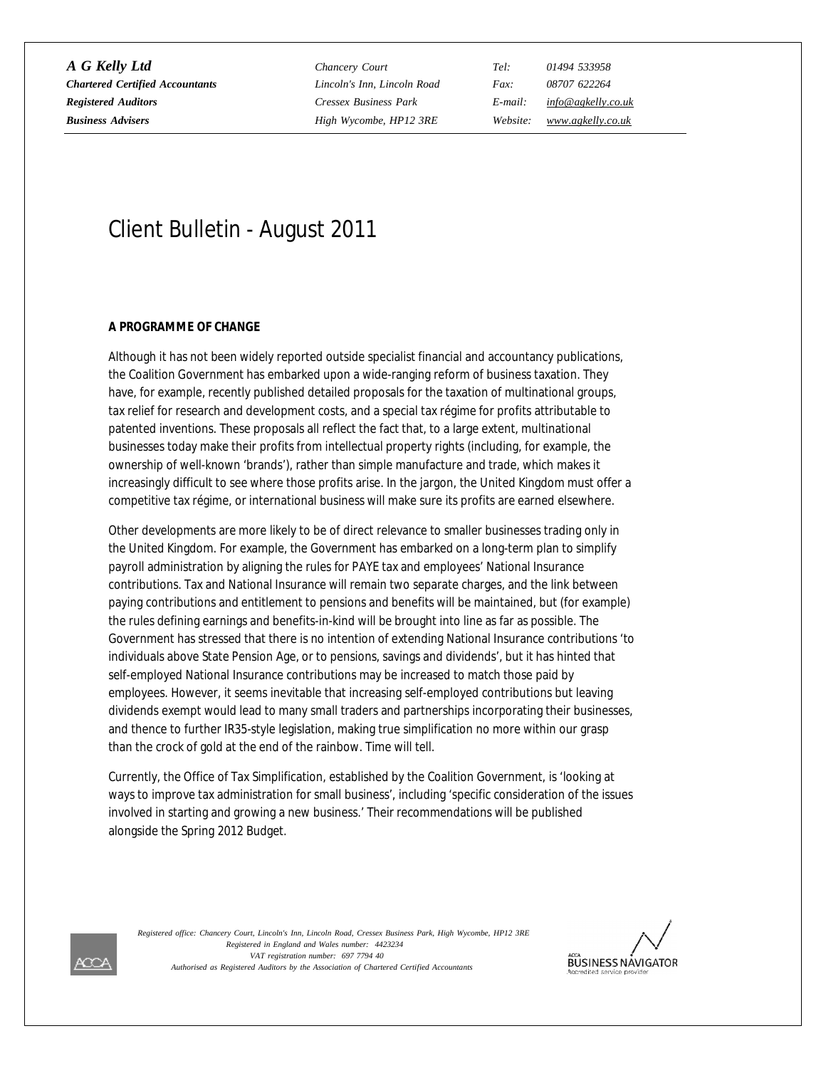*A G Kelly Ltd Chancery Court Tel: 01494 533958 Chartered Certified Accountants Lincoln's Inn, Lincoln Road Fax: 08707 622264 Registered Auditors Cressex Business Park E-mail: [info@agkelly.co.uk](mailto:info@agkelly.co.uk)*

*Business Advisers High Wycombe, HP12 3RE Website: [www.agkelly.co.uk](http://www.agkelly.co.uk)*

# Client Bulletin - August 2011

### **A PROGRAMME OF CHANGE**

Although it has not been widely reported outside specialist financial and accountancy publications, the Coalition Government has embarked upon a wide-ranging reform of business taxation. They have, for example, recently published detailed proposals for the taxation of multinational groups, tax relief for research and development costs, and a special tax régime for profits attributable to patented inventions. These proposals all reflect the fact that, to a large extent, multinational businesses today make their profits from intellectual property rights (including, for example, the ownership of well-known 'brands'), rather than simple manufacture and trade, which makes it increasingly difficult to see where those profits arise. In the jargon, the United Kingdom must offer a competitive tax régime, or international business will make sure its profits are earned elsewhere.

Other developments are more likely to be of direct relevance to smaller businesses trading only in the United Kingdom. For example, the Government has embarked on a long-term plan to simplify payroll administration by aligning the rules for PAYE tax and employees' National Insurance contributions. Tax and National Insurance will remain two separate charges, and the link between paying contributions and entitlement to pensions and benefits will be maintained, but (for example) the rules defining earnings and benefits-in-kind will be brought into line as far as possible. The Government has stressed that there is no intention of extending National Insurance contributions 'to individuals above State Pension Age, or to pensions, savings and dividends', but it has hinted that self-employed National Insurance contributions may be increased to match those paid by employees. However, it seems inevitable that increasing self-employed contributions but leaving dividends exempt would lead to many small traders and partnerships incorporating their businesses, and thence to further IR35-style legislation, making true simplification no more within our grasp than the crock of gold at the end of the rainbow. Time will tell.

Currently, the Office of Tax Simplification, established by the Coalition Government, is 'looking at ways to improve tax administration for small business', including 'specific consideration of the issues involved in starting and growing a new business.' Their recommendations will be published alongside the Spring 2012 Budget.

*VAT registration number: 697 7794 40 Authorised as Registered Auditors by the Association of Chartered Certified Accountants Registered in England and Wales number: 4423234 Registered office: Chancery Court, Lincoln's Inn, Lincoln Road, Cressex Business Park, High Wycombe, HP12 3RE*



ÆŒ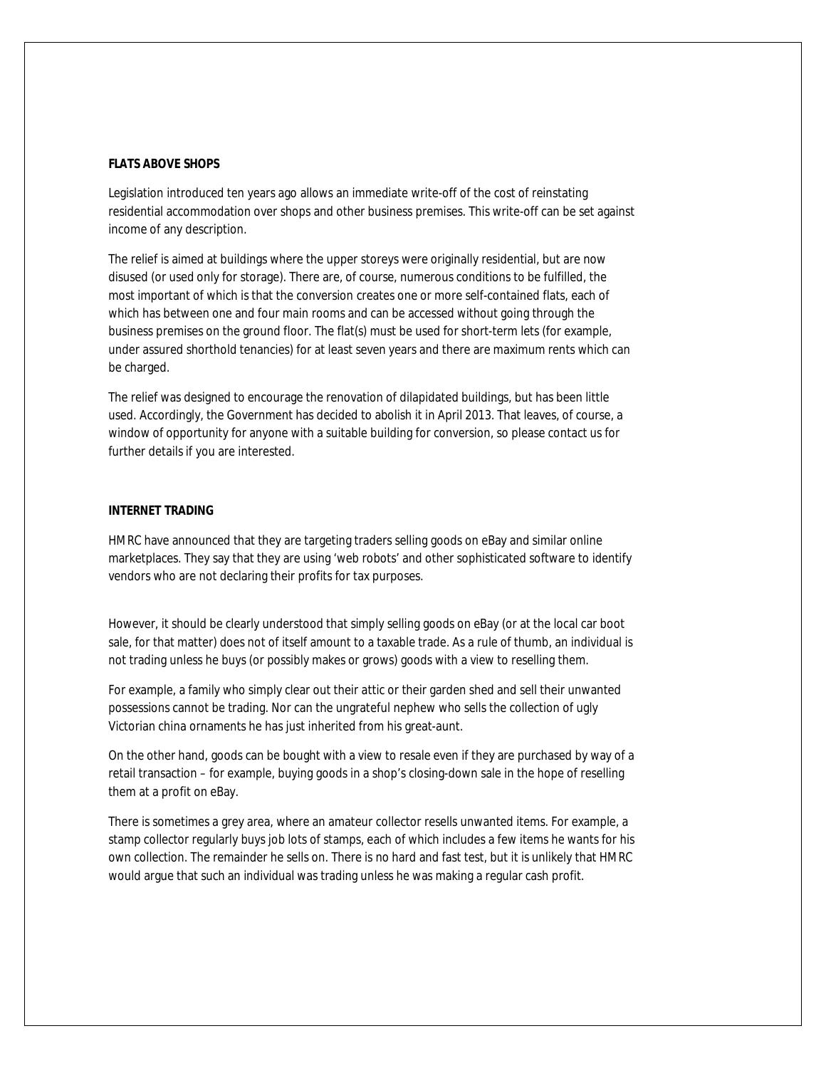## **FLATS ABOVE SHOPS**

Legislation introduced ten years ago allows an immediate write-off of the cost of reinstating residential accommodation over shops and other business premises. This write-off can be set against income of any description.

The relief is aimed at buildings where the upper storeys were originally residential, but are now disused (or used only for storage). There are, of course, numerous conditions to be fulfilled, the most important of which is that the conversion creates one or more self-contained flats, each of which has between one and four main rooms and can be accessed without going through the business premises on the ground floor. The flat(s) must be used for short-term lets (for example, under assured shorthold tenancies) for at least seven years and there are maximum rents which can be charged.

The relief was designed to encourage the renovation of dilapidated buildings, but has been little used. Accordingly, the Government has decided to abolish it in April 2013. That leaves, of course, a window of opportunity for anyone with a suitable building for conversion, so please contact us for further details if you are interested.

# **INTERNET TRADING**

HMRC have announced that they are targeting traders selling goods on eBay and similar online marketplaces. They say that they are using 'web robots' and other sophisticated software to identify vendors who are not declaring their profits for tax purposes.

However, it should be clearly understood that simply selling goods on eBay (or at the local car boot sale, for that matter) does not of itself amount to a taxable trade. As a rule of thumb, an individual is not trading unless he buys (or possibly makes or grows) goods with a view to reselling them.

For example, a family who simply clear out their attic or their garden shed and sell their unwanted possessions cannot be trading. Nor can the ungrateful nephew who sells the collection of ugly Victorian china ornaments he has just inherited from his great-aunt.

On the other hand, goods can be bought with a view to resale even if they are purchased by way of a retail transaction – for example, buying goods in a shop's closing-down sale in the hope of reselling them at a profit on eBay.

There is sometimes a grey area, where an amateur collector resells unwanted items. For example, a stamp collector regularly buys job lots of stamps, each of which includes a few items he wants for his own collection. The remainder he sells on. There is no hard and fast test, but it is unlikely that HMRC would argue that such an individual was trading unless he was making a regular cash profit.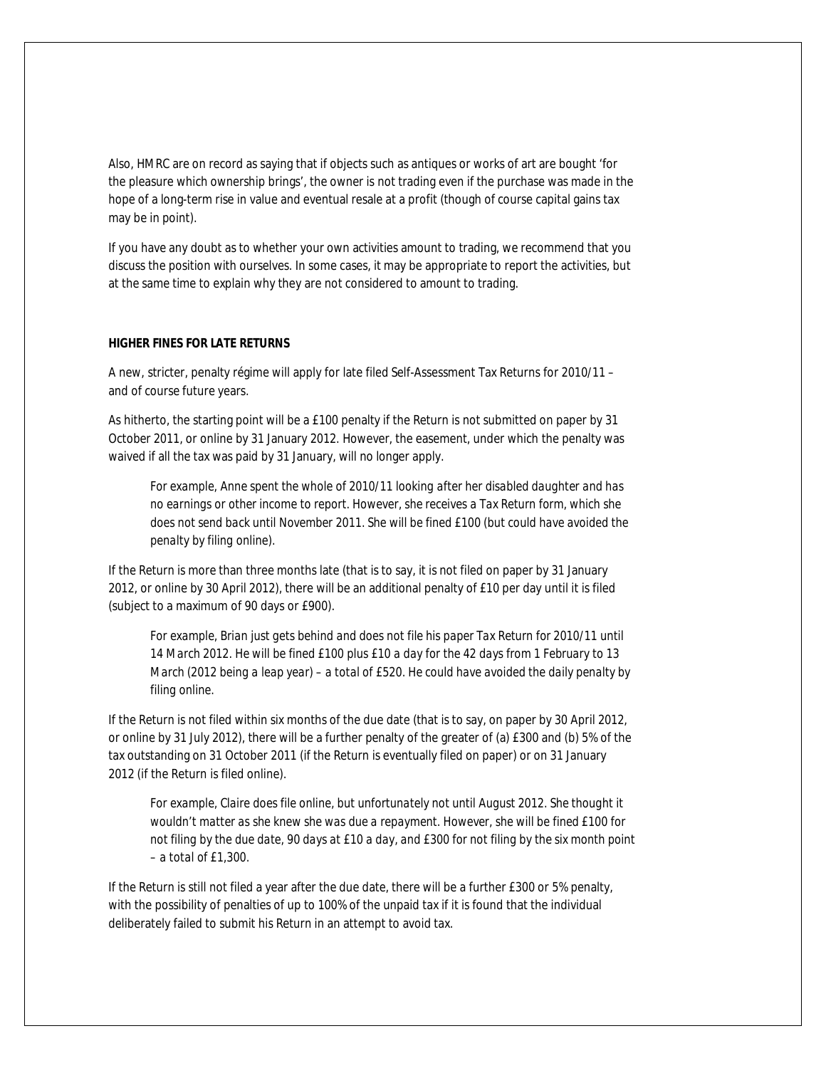Also, HMRC are on record as saying that if objects such as antiques or works of art are bought 'for the pleasure which ownership brings', the owner is not trading even if the purchase was made in the hope of a long-term rise in value and eventual resale at a profit (though of course capital gains tax may be in point).

If you have any doubt as to whether your own activities amount to trading, we recommend that you discuss the position with ourselves. In some cases, it may be appropriate to report the activities, but at the same time to explain why they are not considered to amount to trading.

# **HIGHER FINES FOR LATE RETURNS**

A new, stricter, penalty régime will apply for late filed Self-Assessment Tax Returns for 2010/11 – and of course future years.

As hitherto, the starting point will be a £100 penalty if the Return is not submitted on paper by 31 October 2011, or online by 31 January 2012. However, the easement, under which the penalty was waived if all the tax was paid by 31 January, will no longer apply.

*For example, Anne spent the whole of 2010/11 looking after her disabled daughter and has no earnings or other income to report. However, she receives a Tax Return form, which she does not send back until November 2011. She will be fined £100 (but could have avoided the penalty by filing online).*

If the Return is more than three months late (that is to say, it is not filed on paper by 31 January 2012, or online by 30 April 2012), there will be an additional penalty of £10 per day until it is filed (subject to a maximum of 90 days or £900).

*For example, Brian just gets behind and does not file his paper Tax Return for 2010/11 until 14 March 2012. He will be fined £100 plus £10 a day for the 42 days from 1 February to 13 March (2012 being a leap year) – a total of £520. He could have avoided the daily penalty by filing online.*

If the Return is not filed within six months of the due date (that is to say, on paper by 30 April 2012, or online by 31 July 2012), there will be a further penalty of the greater of (a) £300 and (b) 5% of the tax outstanding on 31 October 2011 (if the Return is eventually filed on paper) or on 31 January 2012 (if the Return is filed online).

*For example, Claire does file online, but unfortunately not until August 2012. She thought it wouldn't matter as she knew she was due a repayment. However, she will be fined £100 for not filing by the due date, 90 days at £10 a day, and £300 for not filing by the six month point – a total of £1,300.*

If the Return is still not filed a year after the due date, there will be a further £300 or 5% penalty, with the possibility of penalties of up to 100% of the unpaid tax if it is found that the individual deliberately failed to submit his Return in an attempt to avoid tax.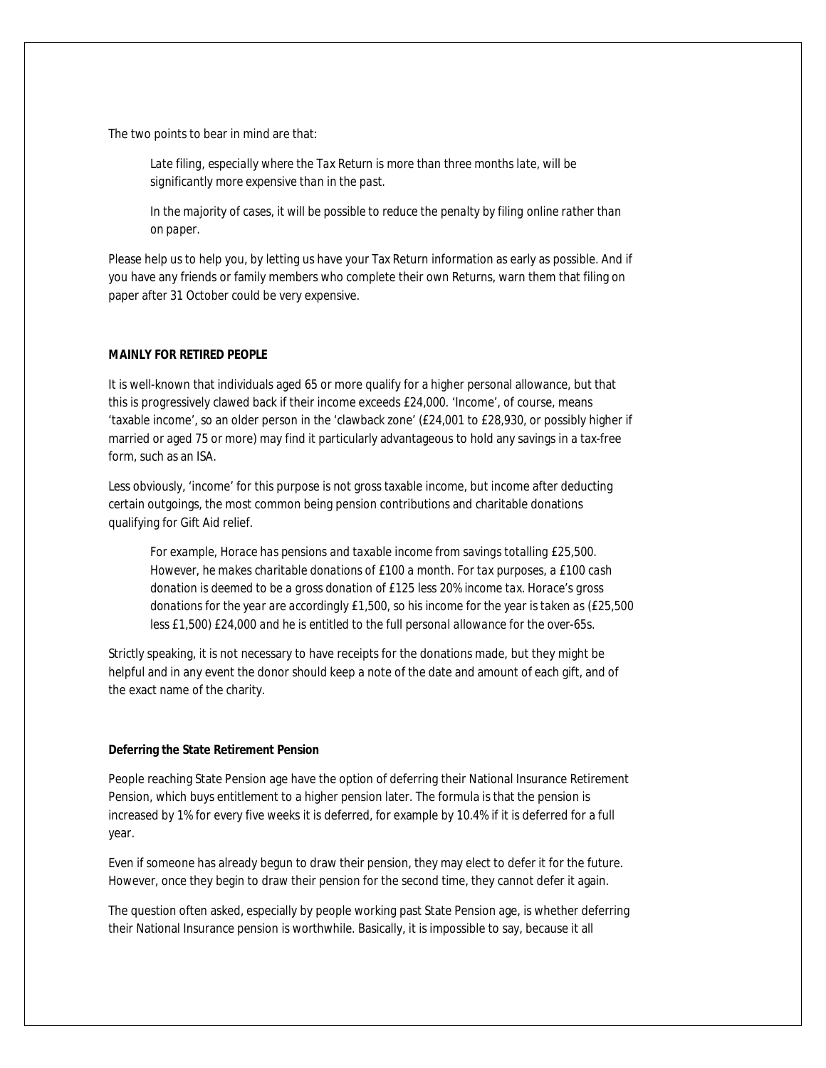The two points to bear in mind are that:

*Late filing, especially where the Tax Return is more than three months late, will be significantly more expensive than in the past.*

*In the majority of cases, it will be possible to reduce the penalty by filing online rather than on paper.*

Please help us to help you, by letting us have your Tax Return information as early as possible. And if you have any friends or family members who complete their own Returns, warn them that filing on paper after 31 October could be very expensive.

# **MAINLY FOR RETIRED PEOPLE**

It is well-known that individuals aged 65 or more qualify for a higher personal allowance, but that this is progressively clawed back if their income exceeds £24,000. 'Income', of course, means 'taxable income', so an older person in the 'clawback zone' (£24,001 to £28,930, or possibly higher if married or aged 75 or more) may find it particularly advantageous to hold any savings in a tax-free form, such as an ISA.

Less obviously, 'income' for this purpose is not gross taxable income, but income after deducting certain outgoings, the most common being pension contributions and charitable donations qualifying for Gift Aid relief.

*For example, Horace has pensions and taxable income from savings totalling £25,500. However, he makes charitable donations of £100 a month. For tax purposes, a £100 cash donation is deemed to be a gross donation of £125 less 20% income tax. Horace's gross donations for the year are accordingly £1,500, so his income for the year is taken as (£25,500 less £1,500) £24,000 and he is entitled to the full personal allowance for the over-65s.*

Strictly speaking, it is not necessary to have receipts for the donations made, but they might be helpful and in any event the donor should keep a note of the date and amount of each gift, and of the exact name of the charity.

#### **Deferring the State Retirement Pension**

People reaching State Pension age have the option of deferring their National Insurance Retirement Pension, which buys entitlement to a higher pension later. The formula is that the pension is increased by 1% for every five weeks it is deferred, for example by 10.4% if it is deferred for a full year.

Even if someone has already begun to draw their pension, they may elect to defer it for the future. However, once they begin to draw their pension for the second time, they cannot defer it again.

The question often asked, especially by people working past State Pension age, is whether deferring their National Insurance pension is worthwhile. Basically, it is impossible to say, because it all